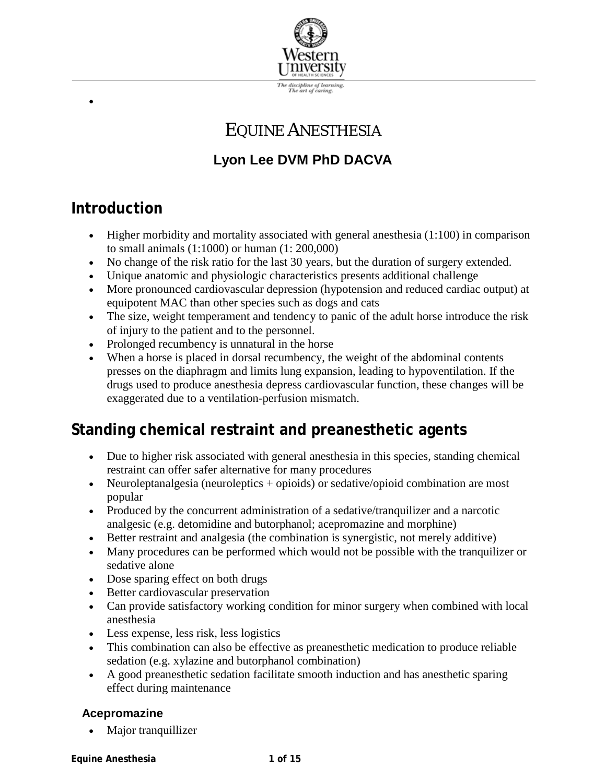

# EQUINE ANESTHESIA

# **Lyon Lee DVM PhD DACVA**

# **Introduction**

- Higher morbidity and mortality associated with general anesthesia (1:100) in comparison to small animals (1:1000) or human (1: 200,000)
- No change of the risk ratio for the last 30 years, but the duration of surgery extended.
- Unique anatomic and physiologic characteristics presents additional challenge
- More pronounced cardiovascular depression (hypotension and reduced cardiac output) at equipotent MAC than other species such as dogs and cats
- The size, weight temperament and tendency to panic of the adult horse introduce the risk of injury to the patient and to the personnel.
- Prolonged recumbency is unnatural in the horse
- When a horse is placed in dorsal recumbency, the weight of the abdominal contents presses on the diaphragm and limits lung expansion, leading to hypoventilation. If the drugs used to produce anesthesia depress cardiovascular function, these changes will be exaggerated due to a ventilation-perfusion mismatch.

# **Standing chemical restraint and preanesthetic agents**

- Due to higher risk associated with general anesthesia in this species, standing chemical restraint can offer safer alternative for many procedures
- Neuroleptanalgesia (neuroleptics + opioids) or sedative/opioid combination are most popular
- Produced by the concurrent administration of a sedative/tranquilizer and a narcotic analgesic (e.g. detomidine and butorphanol; acepromazine and morphine)
- Better restraint and analgesia (the combination is synergistic, not merely additive)
- Many procedures can be performed which would not be possible with the tranquilizer or sedative alone
- Dose sparing effect on both drugs
- Better cardiovascular preservation
- Can provide satisfactory working condition for minor surgery when combined with local anesthesia
- Less expense, less risk, less logistics
- This combination can also be effective as preanesthetic medication to produce reliable sedation (e.g. xylazine and butorphanol combination)
- A good preanesthetic sedation facilitate smooth induction and has anesthetic sparing effect during maintenance

## **Acepromazine**

• Major tranquillizer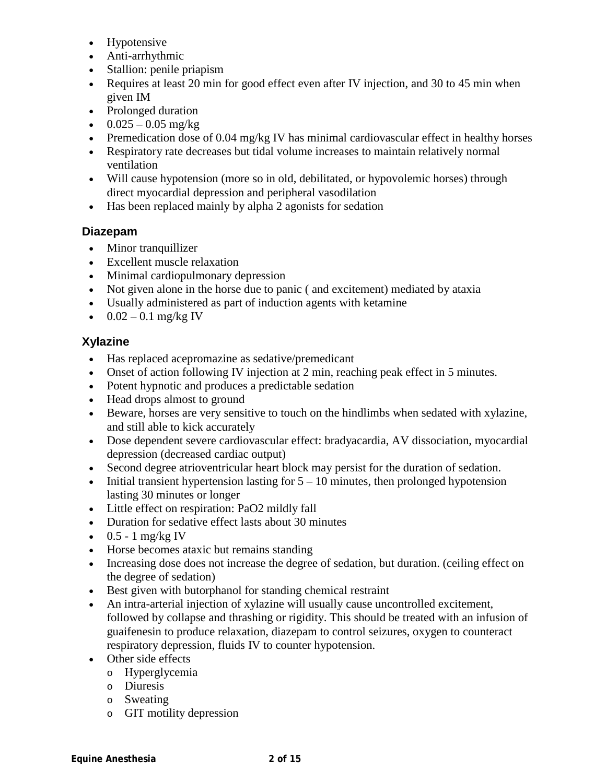- Hypotensive
- Anti-arrhythmic
- Stallion: penile priapism
- Requires at least 20 min for good effect even after IV injection, and 30 to 45 min when given IM
- Prolonged duration
- $0.025 0.05$  mg/kg
- Premedication dose of 0.04 mg/kg IV has minimal cardiovascular effect in healthy horses
- Respiratory rate decreases but tidal volume increases to maintain relatively normal ventilation
- Will cause hypotension (more so in old, debilitated, or hypovolemic horses) through direct myocardial depression and peripheral vasodilation
- Has been replaced mainly by alpha 2 agonists for sedation

### **Diazepam**

- Minor tranquillizer
- Excellent muscle relaxation
- Minimal cardiopulmonary depression
- Not given alone in the horse due to panic (and excitement) mediated by ataxia
- Usually administered as part of induction agents with ketamine
- $0.02 0.1$  mg/kg IV

### **Xylazine**

- Has replaced acepromazine as sedative/premedicant
- Onset of action following IV injection at 2 min, reaching peak effect in 5 minutes.
- Potent hypnotic and produces a predictable sedation
- Head drops almost to ground
- Beware, horses are very sensitive to touch on the hindlimbs when sedated with xylazine, and still able to kick accurately
- Dose dependent severe cardiovascular effect: bradyacardia, AV dissociation, myocardial depression (decreased cardiac output)
- Second degree atrioventricular heart block may persist for the duration of sedation.
- Initial transient hypertension lasting for  $5 10$  minutes, then prolonged hypotension lasting 30 minutes or longer
- Little effect on respiration: PaO2 mildly fall
- Duration for sedative effect lasts about 30 minutes
- $0.5 1$  mg/kg IV
- Horse becomes ataxic but remains standing
- Increasing dose does not increase the degree of sedation, but duration. (ceiling effect on the degree of sedation)
- Best given with butorphanol for standing chemical restraint
- An intra-arterial injection of xylazine will usually cause uncontrolled excitement, followed by collapse and thrashing or rigidity. This should be treated with an infusion of guaifenesin to produce relaxation, diazepam to control seizures, oxygen to counteract respiratory depression, fluids IV to counter hypotension.
- Other side effects
	- o Hyperglycemia
	- o Diuresis
	- o Sweating
	- o GIT motility depression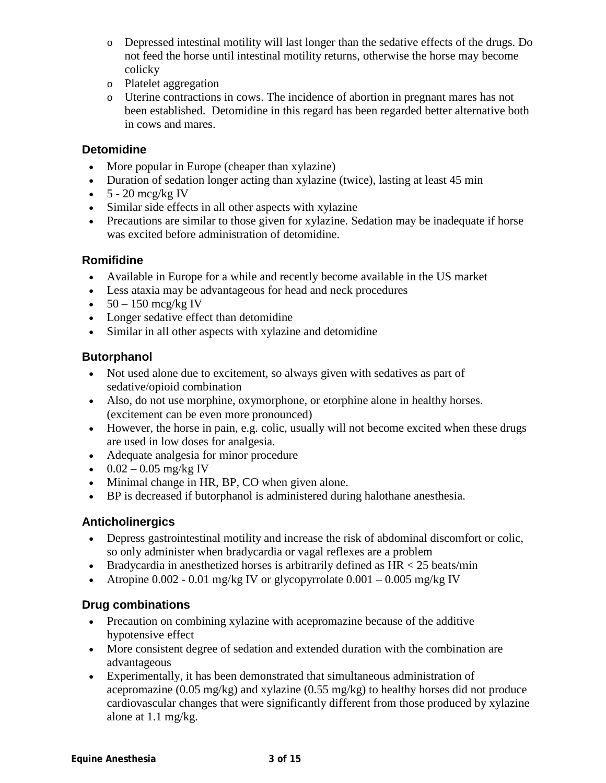- o Depressed intestinal motility will last longer than the sedative effects of the drugs. Do not feed the horse until intestinal motility returns, otherwise the horse may become colicky
- o Platelet aggregation
- o Uterine contractions in cows. The incidence of abortion in pregnant mares has not been established. Detomidine in this regard has been regarded better alternative both in cows and mares.

#### **Detomidine**

- More popular in Europe (cheaper than xylazine)
- Duration of sedation longer acting than xylazine (twice), lasting at least 45 min
- $\bullet$  5 20 mcg/kg IV
- Similar side effects in all other aspects with xylazine
- Precautions are similar to those given for xylazine. Sedation may be inadequate if horse was excited before administration of detomidine.

#### **Romifidine**

- Available in Europe for a while and recently become available in the US market
- Less ataxia may be advantageous for head and neck procedures
- $50 150$  mcg/kg IV
- Longer sedative effect than detomidine
- Similar in all other aspects with xylazine and detomidine

### **Butorphanol**

- Not used alone due to excitement, so always given with sedatives as part of sedative/opioid combination
- Also, do not use morphine, oxymorphone, or etorphine alone in healthy horses. (excitement can be even more pronounced)
- However, the horse in pain, e.g. colic, usually will not become excited when these drugs are used in low doses for analgesia.
- Adequate analgesia for minor procedure
- $0.02 0.05$  mg/kg IV
- Minimal change in HR, BP, CO when given alone.
- BP is decreased if butorphanol is administered during halothane anesthesia.

### **Anticholinergics**

- Depress gastrointestinal motility and increase the risk of abdominal discomfort or colic, so only administer when bradycardia or vagal reflexes are a problem
- Bradycardia in anesthetized horses is arbitrarily defined as  $HR < 25$  beats/min
- Atropine  $0.002 0.01$  mg/kg IV or glycopyrrolate  $0.001 0.005$  mg/kg IV

### **Drug combinations**

- Precaution on combining xylazine with acepromazine because of the additive hypotensive effect
- More consistent degree of sedation and extended duration with the combination are advantageous
- Experimentally, it has been demonstrated that simultaneous administration of acepromazine (0.05 mg/kg) and xylazine (0.55 mg/kg) to healthy horses did not produce cardiovascular changes that were significantly different from those produced by xylazine alone at 1.1 mg/kg.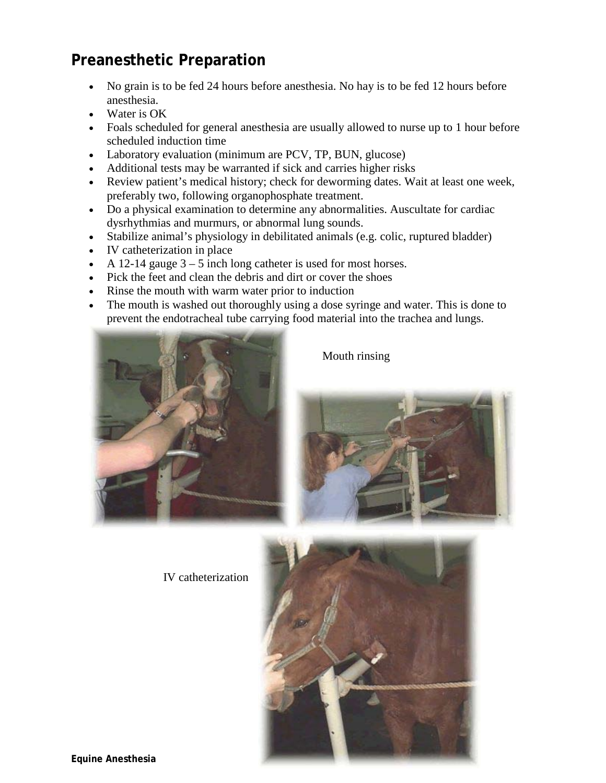# **Preanesthetic Preparation**

- No grain is to be fed 24 hours before anesthesia. No hay is to be fed 12 hours before anesthesia.
- Water is OK
- Foals scheduled for general anesthesia are usually allowed to nurse up to 1 hour before scheduled induction time
- Laboratory evaluation (minimum are PCV, TP, BUN, glucose)
- Additional tests may be warranted if sick and carries higher risks
- Review patient's medical history; check for deworming dates. Wait at least one week, preferably two, following organophosphate treatment.
- Do a physical examination to determine any abnormalities. Auscultate for cardiac dysrhythmias and murmurs, or abnormal lung sounds.
- Stabilize animal's physiology in debilitated animals (e.g. colic, ruptured bladder)
- IV catheterization in place
- A 12-14 gauge  $3 5$  inch long catheter is used for most horses.
- Pick the feet and clean the debris and dirt or cover the shoes
- Rinse the mouth with warm water prior to induction
- The mouth is washed out thoroughly using a dose syringe and water. This is done to prevent the endotracheal tube carrying food material into the trachea and lungs.



Mouth rinsing



IV catheterization

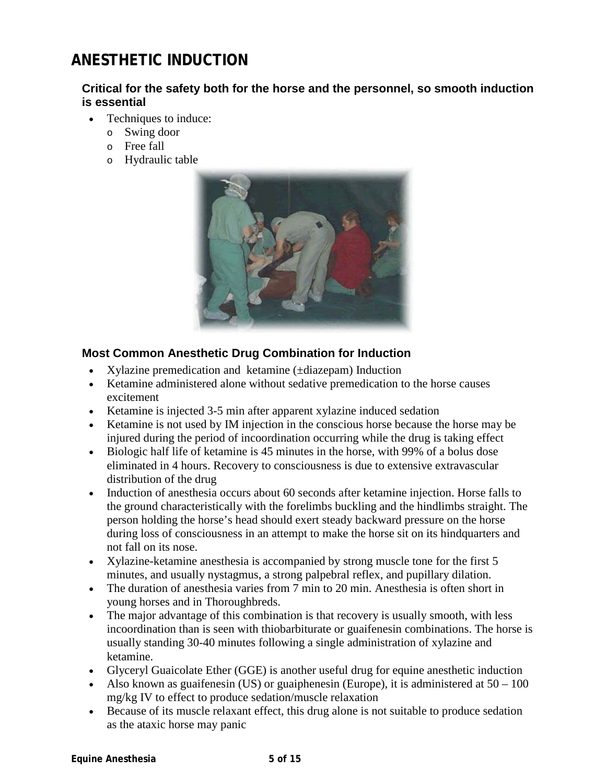# **ANESTHETIC INDUCTION**

#### **Critical for the safety both for the horse and the personnel, so smooth induction is essential**

- Techniques to induce:
	- o Swing door
	- o Free fall
	- o Hydraulic table



### **Most Common Anesthetic Drug Combination for Induction**

- Xylazine premedication and ketamine ( $\pm$ diazepam) Induction
- Ketamine administered alone without sedative premedication to the horse causes excitement
- Ketamine is injected 3-5 min after apparent xylazine induced sedation
- Ketamine is not used by IM injection in the conscious horse because the horse may be injured during the period of incoordination occurring while the drug is taking effect
- Biologic half life of ketamine is 45 minutes in the horse, with 99% of a bolus dose eliminated in 4 hours. Recovery to consciousness is due to extensive extravascular distribution of the drug
- Induction of anesthesia occurs about 60 seconds after ketamine injection. Horse falls to the ground characteristically with the forelimbs buckling and the hindlimbs straight. The person holding the horse's head should exert steady backward pressure on the horse during loss of consciousness in an attempt to make the horse sit on its hindquarters and not fall on its nose.
- Xylazine-ketamine anesthesia is accompanied by strong muscle tone for the first 5 minutes, and usually nystagmus, a strong palpebral reflex, and pupillary dilation.
- The duration of anesthesia varies from 7 min to 20 min. Anesthesia is often short in young horses and in Thoroughbreds.
- The major advantage of this combination is that recovery is usually smooth, with less incoordination than is seen with thiobarbiturate or guaifenesin combinations. The horse is usually standing 30-40 minutes following a single administration of xylazine and ketamine.
- Glyceryl Guaicolate Ether (GGE) is another useful drug for equine anesthetic induction
- Also known as guaifenesin (US) or guaiphenesin (Europe), it is administered at  $50 100$ mg/kg IV to effect to produce sedation/muscle relaxation
- Because of its muscle relaxant effect, this drug alone is not suitable to produce sedation as the ataxic horse may panic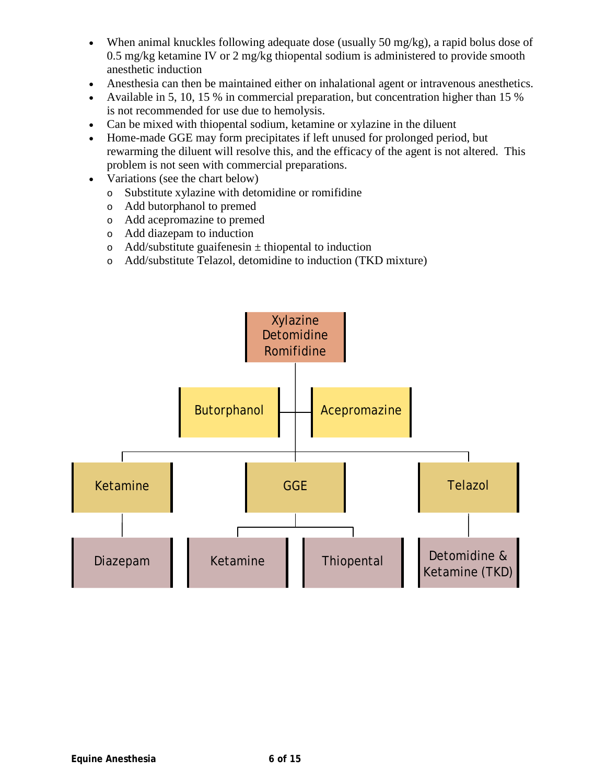- When animal knuckles following adequate dose (usually 50 mg/kg), a rapid bolus dose of 0.5 mg/kg ketamine IV or 2 mg/kg thiopental sodium is administered to provide smooth anesthetic induction
- Anesthesia can then be maintained either on inhalational agent or intravenous anesthetics.
- Available in 5, 10, 15 % in commercial preparation, but concentration higher than 15 % is not recommended for use due to hemolysis.
- Can be mixed with thiopental sodium, ketamine or xylazine in the diluent
- Home-made GGE may form precipitates if left unused for prolonged period, but rewarming the diluent will resolve this, and the efficacy of the agent is not altered. This problem is not seen with commercial preparations.
- Variations (see the chart below)
	- o Substitute xylazine with detomidine or romifidine
	- o Add butorphanol to premed
	- o Add acepromazine to premed
	- o Add diazepam to induction
	- $\circ$  Add/substitute guaifenesin  $\pm$  thiopental to induction
	- o Add/substitute Telazol, detomidine to induction (TKD mixture)

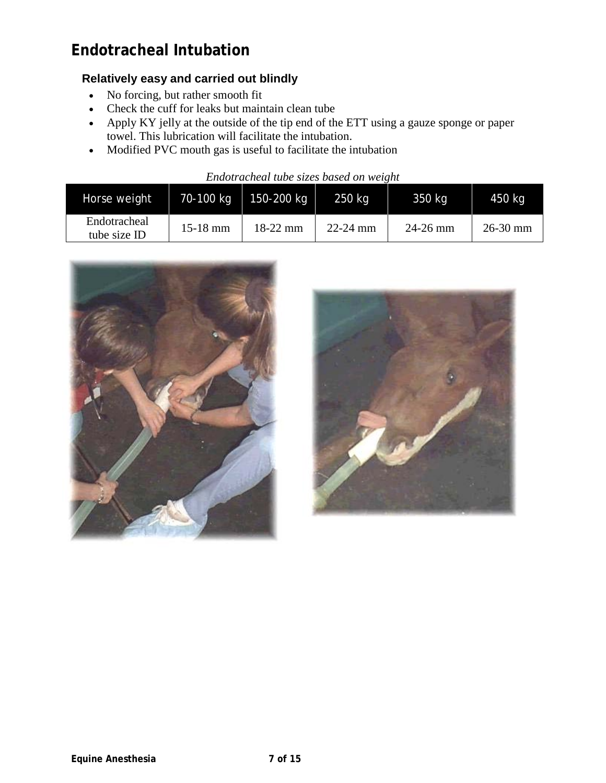# **Endotracheal Intubation**

### **Relatively easy and carried out blindly**

- No forcing, but rather smooth fit
- Check the cuff for leaks but maintain clean tube
- Apply KY jelly at the outside of the tip end of the ETT using a gauze sponge or paper towel. This lubrication will facilitate the intubation.
- Modified PVC mouth gas is useful to facilitate the intubation

| Endotracheal tube sizes based on weight |  |  |  |  |  |
|-----------------------------------------|--|--|--|--|--|
|-----------------------------------------|--|--|--|--|--|

| Horse weight                 | 70-100 kg  | 150-200 kg | $250$ kg     | 350 kg     | 450 kg       |
|------------------------------|------------|------------|--------------|------------|--------------|
| Endotracheal<br>tube size ID | $15-18$ mm | $18-22$ mm | $22 - 24$ mm | $24-26$ mm | $26 - 30$ mm |



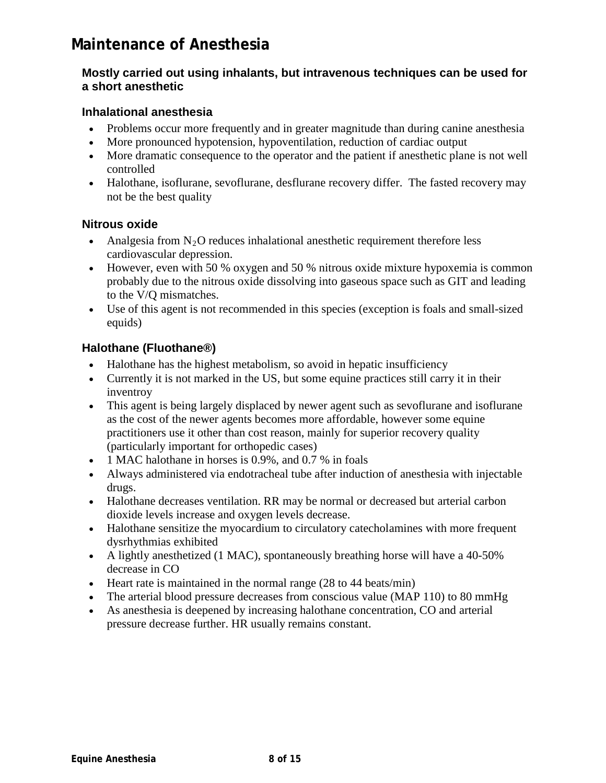# **Maintenance of Anesthesia**

#### **Mostly carried out using inhalants, but intravenous techniques can be used for a short anesthetic**

#### **Inhalational anesthesia**

- Problems occur more frequently and in greater magnitude than during canine anesthesia
- More pronounced hypotension, hypoventilation, reduction of cardiac output
- More dramatic consequence to the operator and the patient if anesthetic plane is not well controlled
- Halothane, isoflurane, sevoflurane, desflurane recovery differ. The fasted recovery may not be the best quality

#### **Nitrous oxide**

- Analgesia from  $N_2O$  reduces inhalational anesthetic requirement therefore less cardiovascular depression.
- However, even with 50 % oxygen and 50 % nitrous oxide mixture hypoxemia is common probably due to the nitrous oxide dissolving into gaseous space such as GIT and leading to the V/Q mismatches.
- Use of this agent is not recommended in this species (exception is foals and small-sized equids)

### **Halothane (Fluothane®)**

- Halothane has the highest metabolism, so avoid in hepatic insufficiency
- Currently it is not marked in the US, but some equine practices still carry it in their inventroy
- This agent is being largely displaced by newer agent such as sevoflurane and isoflurane as the cost of the newer agents becomes more affordable, however some equine practitioners use it other than cost reason, mainly for superior recovery quality (particularly important for orthopedic cases)
- 1 MAC halothane in horses is 0.9%, and 0.7 % in foals
- Always administered via endotracheal tube after induction of anesthesia with injectable drugs.
- Halothane decreases ventilation. RR may be normal or decreased but arterial carbon dioxide levels increase and oxygen levels decrease.
- Halothane sensitize the myocardium to circulatory cates belongines with more frequent dysrhythmias exhibited
- A lightly anesthetized (1 MAC), spontaneously breathing horse will have a 40-50% decrease in CO
- Heart rate is maintained in the normal range (28 to 44 beats/min)
- The arterial blood pressure decreases from conscious value (MAP 110) to 80 mmHg
- As anesthesia is deepened by increasing halothane concentration, CO and arterial pressure decrease further. HR usually remains constant.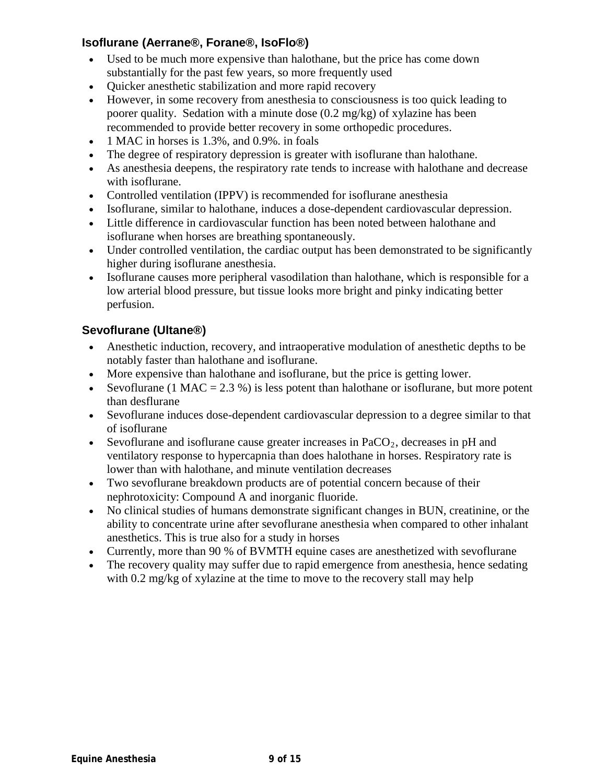#### **Isoflurane (Aerrane®, Forane®, IsoFlo®)**

- Used to be much more expensive than halothane, but the price has come down substantially for the past few years, so more frequently used
- Quicker anesthetic stabilization and more rapid recovery
- However, in some recovery from anesthesia to consciousness is too quick leading to poorer quality. Sedation with a minute dose (0.2 mg/kg) of xylazine has been recommended to provide better recovery in some orthopedic procedures.
- 1 MAC in horses is 1.3%, and 0.9%. in foals
- The degree of respiratory depression is greater with isoflurane than halothane.
- As anesthesia deepens, the respiratory rate tends to increase with halothane and decrease with isoflurane.
- Controlled ventilation (IPPV) is recommended for isoflurane anesthesia
- Isoflurane, similar to halothane, induces a dose-dependent cardiovascular depression.
- Little difference in cardiovascular function has been noted between halothane and isoflurane when horses are breathing spontaneously.
- Under controlled ventilation, the cardiac output has been demonstrated to be significantly higher during isoflurane anesthesia.
- Isoflurane causes more peripheral vasodilation than halothane, which is responsible for a low arterial blood pressure, but tissue looks more bright and pinky indicating better perfusion.

### **Sevoflurane (Ultane®)**

- Anesthetic induction, recovery, and intraoperative modulation of anesthetic depths to be notably faster than halothane and isoflurane.
- More expensive than halothane and isoflurane, but the price is getting lower.
- [Sevoflurane](javascript:fileName=) (1 MAC = 2.3 %) is less potent than [halothane](javascript:fileName=) or [isoflurane,](javascript:fileName=) but more potent than [desflurane](javascript:fileName=)
- [Sevoflurane](javascript:fileName=) induces dose-dependent cardiovascular depression to a degree similar to that of [isoflurane](javascript:fileName=)
- [Sevoflurane](javascript:fileName=) and [isoflurane](javascript:fileName=) cause greater increases in  $PaCO<sub>2</sub>$ , decreases in pH and ventilatoryresponse to hypercapnia than does halothane in horses. Respiratory rate is lower than with [halothane,](javascript:fileName=) and minute ventilation decreases
- Two [sevoflurane](javascript:fileName=) breakdown products are of potential concern because of their nephrotoxicity: Compound A and inorganic fluoride.
- No clinical studies of humans demonstrate significant changes in BUN, creatinine, or the ability to concentrate urine after [sevoflurane](javascript:fileName=) anesthesia when compared to other inhalant anesthetics. This is true also for a study in horses
- Currently, more than 90 % of BVMTH equine cases are anesthetized with sevoflurane
- The recovery quality may suffer due to rapid emergence from anesthesia, hence sedating with 0.2 mg/kg of xylazine at the time to move to the recovery stall may help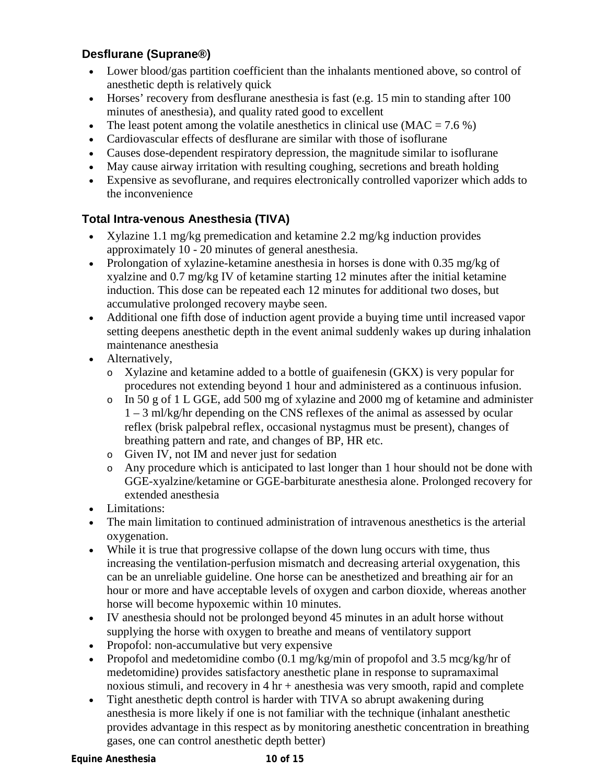### **Desflurane (Suprane®)**

- Lower blood/gas partition coefficient than the inhalants mentioned above, so control of anesthetic depth is relatively quick
- Horses' recovery from [desflurane](javascript:fileName=) anesthesia is fast (e.g. 15 min to standing after 100 minutes of anesthesia), and quality rated good to excellent
- The least potent among the volatile anesthetics in clinical use  $(MAC = 7.6\%)$
- Cardiovascular effects of [desflurane](javascript:fileName=) are similar with those of [isoflurane](javascript:fileName=)
- Causes dose-dependent respiratory depression, the magnitude similar to [isoflurane](javascript:fileName=)
- May cause airway irritation with resulting coughing, secretions and breath holding
- Expensive as sevoflurane, and requires electronically controlled vaporizer which adds to the inconvenience

### **Total Intra-venous Anesthesia (TIVA)**

- Xylazine 1.1 mg/kg premedication and ketamine 2.2 mg/kg induction provides approximately 10 - 20 minutes of general anesthesia.
- Prolongation of xylazine-ketamine anesthesia in horses is done with 0.35 mg/kg of xyalzine and 0.7 mg/kg IV of ketamine starting 12 minutes after the initial ketamine induction. This dose can be repeated each 12 minutes for additional two doses, but accumulative prolonged recovery maybe seen.
- Additional one fifth dose of induction agent provide a buying time until increased vapor setting deepens anesthetic depth in the event animal suddenly wakes up during inhalation maintenance anesthesia
- Alternatively,
	- o Xylazine and ketamine added to a bottle of guaifenesin (GKX) is very popular for procedures not extending beyond 1 hour and administered as a continuous infusion.
	- o In 50 g of 1 L GGE, add 500 mg of xylazine and 2000 mg of ketamine and administer 1 – 3 ml/kg/hr depending on the CNS reflexes of the animal as assessed by ocular reflex (brisk palpebral reflex, occasional nystagmus must be present), changes of breathing pattern and rate, and changes of BP, HR etc.
	- o Given IV, not IM and never just for sedation
	- o Any procedure which is anticipated to last longer than 1 hour should not be done with GGE-xyalzine/ketamine or GGE-barbiturate anesthesia alone. Prolonged recovery for extended anesthesia
- Limitations:
- The main limitation to continued administration of intravenous anesthetics is the arterial oxygenation.
- While it is true that progressive collapse of the down lung occurs with time, thus increasing the ventilation-perfusion mismatch and decreasing arterial oxygenation, this can be an unreliable guideline. One horse can be anesthetized and breathing air for an hour or more and have acceptable levels of oxygen and carbon dioxide, whereas another horse will become hypoxemic within 10 minutes.
- IV anesthesia should not be prolonged beyond 45 minutes in an adult horse without supplying the horse with oxygen to breathe and means of ventilatory support
- Propofol: non-accumulative but very expensive
- Propofol and medetomidine combo  $(0.1 \text{ mg/kg/min})$  of propofol and 3.5 mcg/kg/hr of medetomidine) provides satisfactory anesthetic plane in response to supramaximal noxious stimuli, and recovery in  $4 \text{ hr} + \text{an}$ esthesia was very smooth, rapid and complete
- Tight anesthetic depth control is harder with TIVA so abrupt awakening during anesthesia is more likely if one is not familiar with the technique (inhalant anesthetic provides advantage in this respect as by monitoring anesthetic concentration in breathing gases, one can control anesthetic depth better)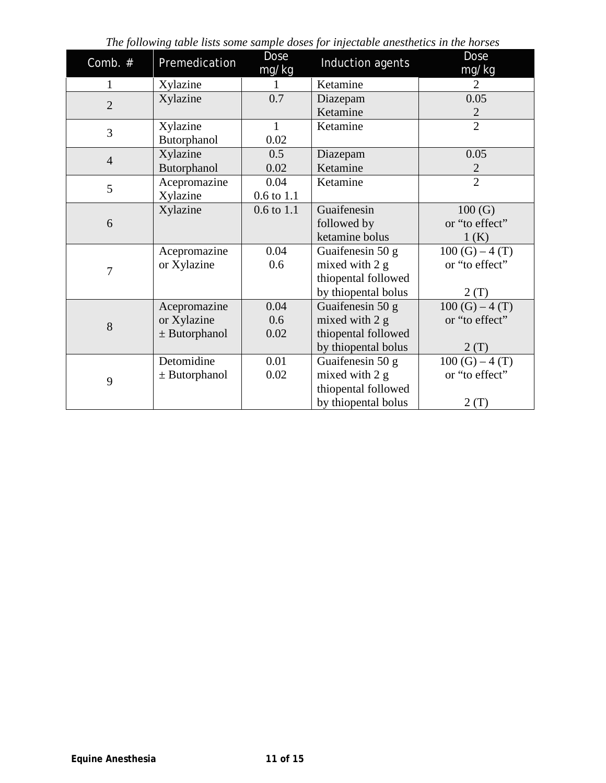| Comb. #        | Premedication     | <b>Dose</b><br>mg/kg | racie insis sonie sanipie acses je: injectacie ani<br>Induction agents | Dose<br>mg/kg   |
|----------------|-------------------|----------------------|------------------------------------------------------------------------|-----------------|
| $\mathbf{1}$   | Xylazine          |                      | Ketamine                                                               | 2               |
| $\overline{2}$ | Xylazine          | 0.7                  | Diazepam                                                               | 0.05            |
|                |                   |                      | Ketamine                                                               | $\overline{2}$  |
| 3              | Xylazine          | $\mathbf{1}$         | Ketamine                                                               | $\overline{2}$  |
|                | Butorphanol       | 0.02                 |                                                                        |                 |
| $\overline{4}$ | Xylazine          | 0.5                  | Diazepam                                                               | 0.05            |
|                | Butorphanol       | 0.02                 | Ketamine                                                               | $\overline{2}$  |
| 5              | Acepromazine      | 0.04                 | Ketamine                                                               | $\overline{2}$  |
|                | Xylazine          | $0.6$ to $1.1$       |                                                                        |                 |
|                | Xylazine          | $0.6$ to $1.1$       | Guaifenesin                                                            | 100(G)          |
| 6              |                   |                      | followed by                                                            | or "to effect"  |
|                |                   |                      | ketamine bolus                                                         | 1(K)            |
|                | Acepromazine      | 0.04                 | Guaifenesin 50 g                                                       | $100(G) - 4(T)$ |
| 7              | or Xylazine       | 0.6                  | mixed with 2 g                                                         | or "to effect"  |
|                |                   |                      | thiopental followed                                                    |                 |
|                |                   |                      | by thiopental bolus                                                    | 2(T)            |
|                | Acepromazine      | 0.04                 | Guaifenesin 50 g                                                       | $100(G) - 4(T)$ |
| 8              | or Xylazine       | 0.6                  | mixed with 2 g                                                         | or "to effect"  |
|                | $\pm$ Butorphanol | 0.02                 | thiopental followed                                                    |                 |
|                |                   |                      | by thiopental bolus                                                    | 2(T)            |
|                | Detomidine        | 0.01                 | Guaifenesin 50 g                                                       | $100(G) - 4(T)$ |
| 9              | $±$ Butorphanol   | 0.02                 | mixed with 2 g                                                         | or "to effect"  |
|                |                   |                      | thiopental followed                                                    |                 |
|                |                   |                      | by thiopental bolus                                                    | 2(T)            |

*The following table lists some sample doses for injectable anesthetics in the horses*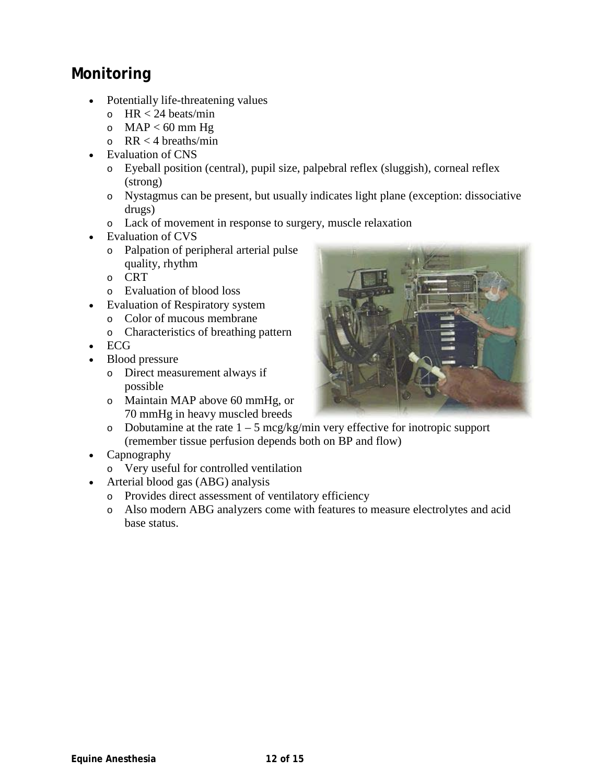# **Monitoring**

- Potentially life-threatening values
	- $\circ$  HR < 24 beats/min
	- $O$  MAP < 60 mm Hg
	- $\circ$  RR < 4 breaths/min
	- Evaluation of CNS
		- o Eyeball position (central), pupil size, palpebral reflex (sluggish), corneal reflex (strong)
		- o Nystagmus can be present, but usually indicates light plane (exception: dissociative drugs)
		- o Lack of movement in response to surgery, muscle relaxation
- Evaluation of CVS
	- o Palpation of peripheral arterial pulse quality, rhythm
	- o CRT
	- o Evaluation of blood loss
- Evaluation of Respiratory system
	- o Color of mucous membrane
	- o Characteristics of breathing pattern
- ECG
- Blood pressure
	- o Direct measurement always if possible
	- o Maintain MAP above 60 mmHg, or 70 mmHg in heavy muscled breeds
	- o Dobutamine at the rate  $1 5$  mcg/kg/min very effective for inotropic support (remember tissue perfusion depends both on BP and flow)
- Capnography
	- o Very useful for controlled ventilation
- Arterial blood gas (ABG) analysis
	- o Provides direct assessment of ventilatory efficiency
	- o Also modern ABG analyzers come with features to measure electrolytes and acid base status.

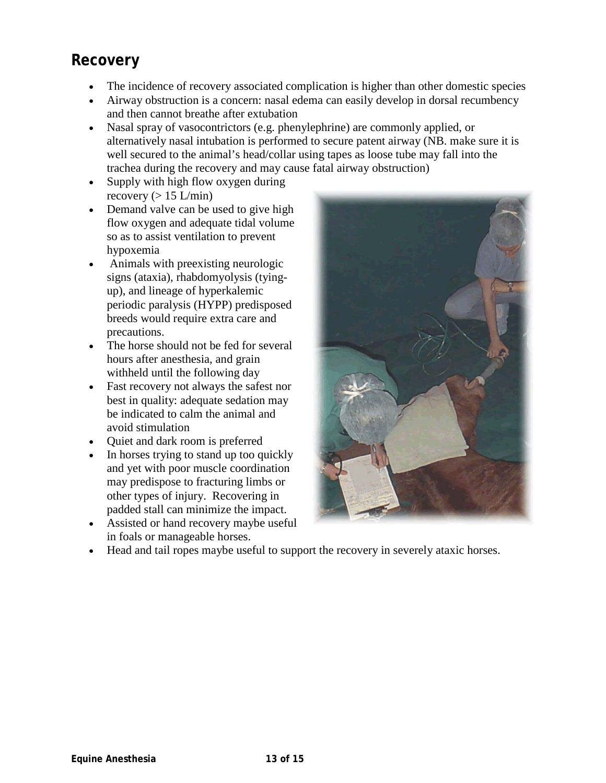# **Recovery**

- The incidence of recovery associated complication is higher than other domestic species
- Airway obstruction is a concern: nasal edema can easily develop in dorsal recumbency and then cannot breathe after extubation
- Nasal spray of vasocontrictors (e.g. phenylephrine) are commonly applied, or alternatively nasal intubation is performed to secure patent airway (NB. make sure it is well secured to the animal's head/collar using tapes as loose tube may fall into the trachea during the recovery and may cause fatal airway obstruction)
- Supply with high flow oxygen during recovery  $(> 15 \text{ L/min})$
- Demand valve can be used to give high flow oxygen and adequate tidal volume so as to assist ventilation to prevent hypoxemia
- Animals with preexisting neurologic signs (ataxia), rhabdomyolysis (tyingup), and lineage of hyperkalemic periodic paralysis (HYPP) predisposed breeds would require extra care and precautions.
- The horse should not be fed for several hours after anesthesia, and grain withheld until the following day
- Fast recovery not always the safest nor best in quality: adequate sedation may be indicated to calm the animal and avoid stimulation
- Quiet and dark room is preferred
- In horses trying to stand up too quickly and yet with poor muscle coordination may predispose to fracturing limbs or other types of injury. Recovering in padded stall can minimize the impact.
- Assisted or hand recovery maybe useful in foals or manageable horses.



• Head and tail ropes maybe useful to support the recovery in severely ataxic horses.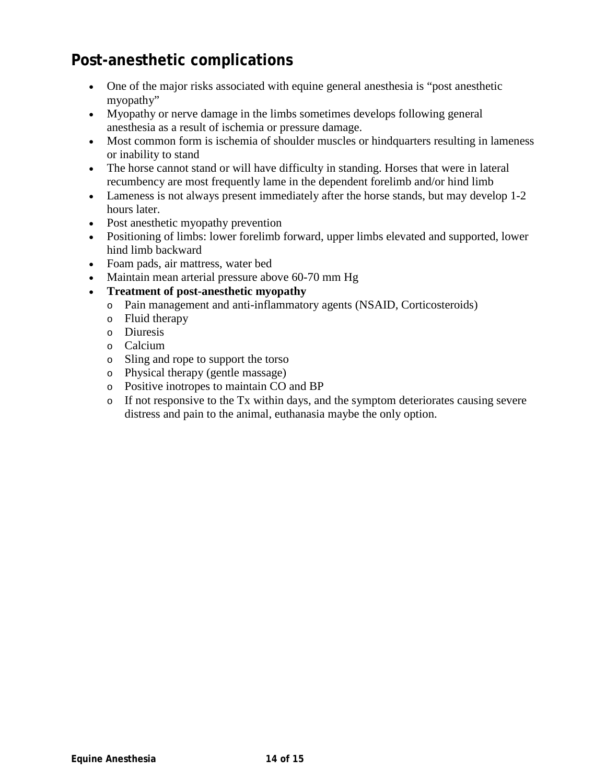# **Post-anesthetic complications**

- One of the major risks associated with equine general anesthesia is "post anesthetic myopathy"
- Myopathy or nerve damage in the limbs sometimes develops following general anesthesia as a result of ischemia or pressure damage.
- Most common form is ischemia of shoulder muscles or hindquarters resulting in lameness or inability to stand
- The horse cannot stand or will have difficulty in standing. Horses that were in lateral recumbency are most frequently lame in the dependent forelimb and/or hind limb
- Lameness is not always present immediately after the horse stands, but may develop 1-2 hours later.
- Post anesthetic myopathy prevention
- Positioning of limbs: lower forelimb forward, upper limbs elevated and supported, lower hind limb backward
- Foam pads, air mattress, water bed
- Maintain mean arterial pressure above 60-70 mm Hg
- **Treatment of post-anesthetic myopathy**
	- o Pain management and anti-inflammatory agents (NSAID, Corticosteroids)
	- o Fluid therapy
	- o Diuresis
	- o Calcium
	- o Sling and rope to support the torso
	- o Physical therapy (gentle massage)
	- o Positive inotropes to maintain CO and BP
	- o If not responsive to the Tx within days, and the symptom deteriorates causing severe distress and pain to the animal, euthanasia maybe the only option.